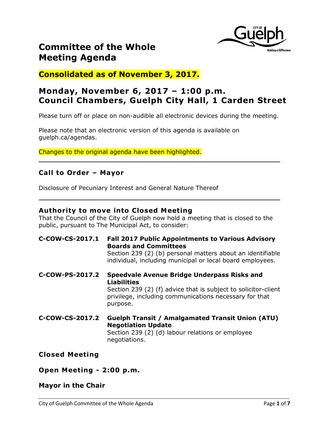

**Consolidated as of November 3, 2017.**

# **Monday, November 6, 2017 – 1:00 p.m. Council Chambers, Guelph City Hall, 1 Carden Street**

Please turn off or place on non-audible all electronic devices during the meeting.

Please note that an electronic version of this agenda is available on guelph.ca/agendas.

Changes to the original agenda have been highlighted.

# **Call to Order – Mayor**

Disclosure of Pecuniary Interest and General Nature Thereof

# **Authority to move into Closed Meeting**

That the Council of the City of Guelph now hold a meeting that is closed to the public, pursuant to The Municipal Act, to consider:

- **C-COW-CS-2017.1 Fall 2017 Public Appointments to Various Advisory Boards and Committees** Section 239 (2) (b) personal matters about an identifiable individual, including municipal or local board employees.
- **C-COW-PS-2017.2 Speedvale Avenue Bridge Underpass Risks and Liabilities** Section 239 (2) (f) advice that is subject to solicitor-client privilege, including communications necessary for that purpose.
- **C-COW-CS-2017.2 Guelph Transit / Amalgamated Transit Union (ATU) Negotiation Update** Section 239 (2) (d) labour relations or employee negotiations.

# **Closed Meeting**

# **Open Meeting - 2:00 p.m.**

# **Mayor in the Chair**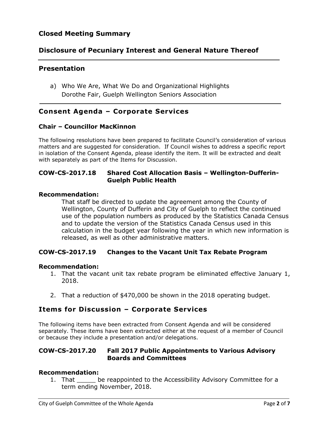# **Closed Meeting Summary**

# **Disclosure of Pecuniary Interest and General Nature Thereof**

# **Presentation**

a) Who We Are, What We Do and Organizational Highlights Dorothe Fair, Guelph Wellington Seniors Association

# **Consent Agenda – Corporate Services**

#### **Chair – Councillor MacKinnon**

The following resolutions have been prepared to facilitate Council's consideration of various matters and are suggested for consideration. If Council wishes to address a specific report in isolation of the Consent Agenda, please identify the item. It will be extracted and dealt with separately as part of the Items for Discussion.

# **COW-CS-2017.18 Shared Cost Allocation Basis – Wellington-Dufferin-Guelph Public Health**

#### **Recommendation:**

That staff be directed to update the agreement among the County of Wellington, County of Dufferin and City of Guelph to reflect the continued use of the population numbers as produced by the Statistics Canada Census and to update the version of the Statistics Canada Census used in this calculation in the budget year following the year in which new information is released, as well as other administrative matters.

# **COW-CS-2017.19 Changes to the Vacant Unit Tax Rebate Program**

#### **Recommendation:**

- 1. That the vacant unit tax rebate program be eliminated effective January 1, 2018.
- 2. That a reduction of \$470,000 be shown in the 2018 operating budget.

# **Items for Discussion – Corporate Services**

The following items have been extracted from Consent Agenda and will be considered separately. These items have been extracted either at the request of a member of Council or because they include a presentation and/or delegations.

### **COW-CS-2017.20 Fall 2017 Public Appointments to Various Advisory Boards and Committees**

#### **Recommendation:**

1. That be reappointed to the Accessibility Advisory Committee for a term ending November, 2018.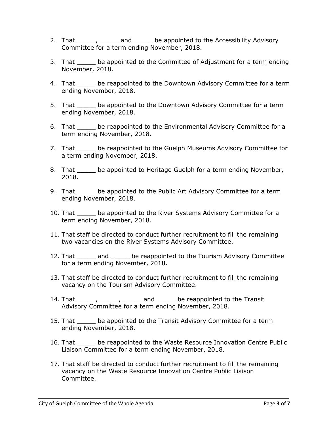- 2. That \_\_\_\_\_, \_\_\_\_\_ and \_\_\_\_\_ be appointed to the Accessibility Advisory Committee for a term ending November, 2018.
- 3. That \_\_\_\_\_ be appointed to the Committee of Adjustment for a term ending November, 2018.
- 4. That \_\_\_\_\_ be reappointed to the Downtown Advisory Committee for a term ending November, 2018.
- 5. That \_\_\_\_\_ be appointed to the Downtown Advisory Committee for a term ending November, 2018.
- 6. That \_\_\_\_\_ be reappointed to the Environmental Advisory Committee for a term ending November, 2018.
- 7. That be reappointed to the Guelph Museums Advisory Committee for a term ending November, 2018.
- 8. That be appointed to Heritage Guelph for a term ending November, 2018.
- 9. That be appointed to the Public Art Advisory Committee for a term ending November, 2018.
- 10. That \_\_\_\_\_ be appointed to the River Systems Advisory Committee for a term ending November, 2018.
- 11. That staff be directed to conduct further recruitment to fill the remaining two vacancies on the River Systems Advisory Committee.
- 12. That \_\_\_\_\_\_ and \_\_\_\_\_\_ be reappointed to the Tourism Advisory Committee for a term ending November, 2018.
- 13. That staff be directed to conduct further recruitment to fill the remaining vacancy on the Tourism Advisory Committee.
- 14. That \_\_\_\_\_\_, \_\_\_\_\_\_, \_\_\_\_\_\_ and \_\_\_\_\_\_ be reappointed to the Transit Advisory Committee for a term ending November, 2018.
- 15. That \_\_\_\_\_ be appointed to the Transit Advisory Committee for a term ending November, 2018.
- 16. That \_\_\_\_\_ be reappointed to the Waste Resource Innovation Centre Public Liaison Committee for a term ending November, 2018.
- 17. That staff be directed to conduct further recruitment to fill the remaining vacancy on the Waste Resource Innovation Centre Public Liaison Committee.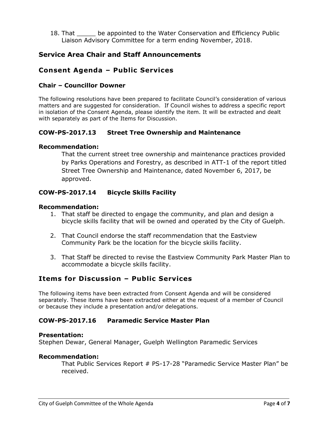18. That \_\_\_\_\_ be appointed to the Water Conservation and Efficiency Public Liaison Advisory Committee for a term ending November, 2018.

# **Service Area Chair and Staff Announcements**

# **Consent Agenda – Public Services**

### **Chair – Councillor Downer**

The following resolutions have been prepared to facilitate Council's consideration of various matters and are suggested for consideration. If Council wishes to address a specific report in isolation of the Consent Agenda, please identify the item. It will be extracted and dealt with separately as part of the Items for Discussion.

# **COW-PS-2017.13 Street Tree Ownership and Maintenance**

#### **Recommendation:**

That the current street tree ownership and maintenance practices provided by Parks Operations and Forestry, as described in ATT-1 of the report titled Street Tree Ownership and Maintenance, dated November 6, 2017, be approved.

### **COW-PS-2017.14 Bicycle Skills Facility**

#### **Recommendation:**

- 1. That staff be directed to engage the community, and plan and design a bicycle skills facility that will be owned and operated by the City of Guelph.
- 2. That Council endorse the staff recommendation that the Eastview Community Park be the location for the bicycle skills facility.
- 3. That Staff be directed to revise the Eastview Community Park Master Plan to accommodate a bicycle skills facility.

# **Items for Discussion – Public Services**

The following items have been extracted from Consent Agenda and will be considered separately. These items have been extracted either at the request of a member of Council or because they include a presentation and/or delegations.

#### **COW-PS-2017.16 Paramedic Service Master Plan**

#### **Presentation:**

Stephen Dewar, General Manager, Guelph Wellington Paramedic Services

#### **Recommendation:**

That Public Services Report # PS-17-28 "Paramedic Service Master Plan" be received.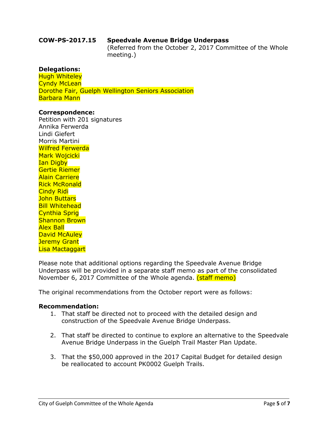#### **COW-PS-2017.15 Speedvale Avenue Bridge Underpass**

(Referred from the October 2, 2017 Committee of the Whole meeting.)

#### **Delegations:**

Hugh Whiteley Cyndy McLean Dorothe Fair, Guelph Wellington Seniors Association Barbara Mann

#### **Correspondence:**

Petition with 201 signatures Annika Ferwerda Lindi Giefert Morris Martini Wilfred Ferwerda Mark Wojcicki Ian Digby Gertie Riemer Alain Carriere Rick McRonald Cindy Ridi John Buttars Bill Whitehead Cynthia Sprig Shannon Brown Alex Ball David McAuley Jeremy Grant Lisa Mactaggart

Please note that additional options regarding the Speedvale Avenue Bridge Underpass will be provided in a separate staff memo as part of the consolidated November 6, 2017 Committee of the Whole agenda. (staff memo)

The original recommendations from the October report were as follows:

#### **Recommendation:**

- 1. That staff be directed not to proceed with the detailed design and construction of the Speedvale Avenue Bridge Underpass.
- 2. That staff be directed to continue to explore an alternative to the Speedvale Avenue Bridge Underpass in the Guelph Trail Master Plan Update.
- 3. That the \$50,000 approved in the 2017 Capital Budget for detailed design be reallocated to account PK0002 Guelph Trails.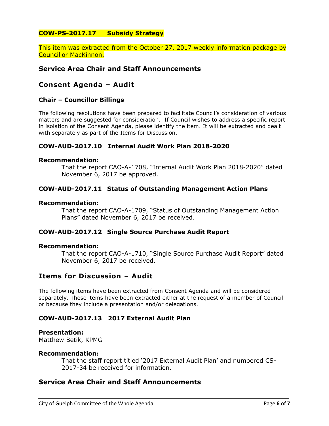# **COW-PS-2017.17 Subsidy Strategy**

This item was extracted from the October 27, 2017 weekly information package by Councillor MacKinnon.

# **Service Area Chair and Staff Announcements**

# **Consent Agenda – Audit**

#### **Chair – Councillor Billings**

The following resolutions have been prepared to facilitate Council's consideration of various matters and are suggested for consideration. If Council wishes to address a specific report in isolation of the Consent Agenda, please identify the item. It will be extracted and dealt with separately as part of the Items for Discussion.

#### **COW-AUD-2017.10 Internal Audit Work Plan 2018-2020**

#### **Recommendation:**

That the report CAO-A-1708, "Internal Audit Work Plan 2018-2020" dated November 6, 2017 be approved.

#### **COW-AUD-2017.11 Status of Outstanding Management Action Plans**

#### **Recommendation:**

That the report CAO-A-1709, "Status of Outstanding Management Action Plans" dated November 6, 2017 be received.

#### **COW-AUD-2017.12 Single Source Purchase Audit Report**

#### **Recommendation:**

That the report CAO-A-1710, "Single Source Purchase Audit Report" dated November 6, 2017 be received.

# **Items for Discussion – Audit**

The following items have been extracted from Consent Agenda and will be considered separately. These items have been extracted either at the request of a member of Council or because they include a presentation and/or delegations.

# **COW-AUD-2017.13 2017 External Audit Plan**

#### **Presentation:**

Matthew Betik, KPMG

#### **Recommendation:**

That the staff report titled '2017 External Audit Plan' and numbered CS-2017-34 be received for information.

# **Service Area Chair and Staff Announcements**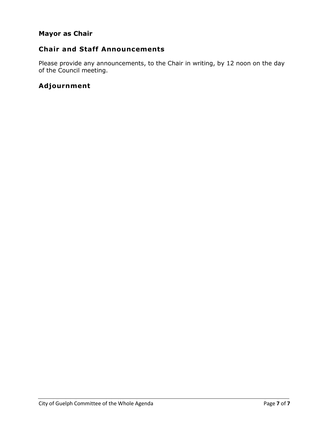# **Mayor as Chair**

# **Chair and Staff Announcements**

Please provide any announcements, to the Chair in writing, by 12 noon on the day of the Council meeting.

# **Adjournment**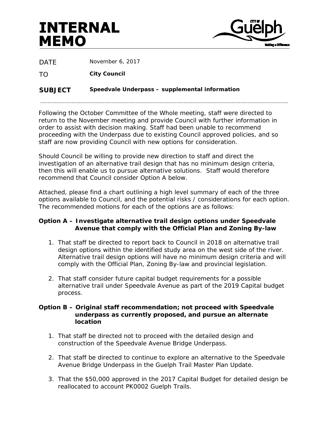# **INTERNAL MEMO**



DATF November 6, 2017

TO **City Council**

# **SUBJECT Speedvale Underpass – supplemental information**

Following the October Committee of the Whole meeting, staff were directed to return to the November meeting and provide Council with further information in order to assist with decision making. Staff had been unable to recommend proceeding with the Underpass due to existing Council approved policies, and so staff are now providing Council with new options for consideration.

\_\_\_\_\_\_\_\_\_\_\_\_\_\_\_\_\_\_\_\_\_\_\_\_\_\_\_\_\_\_\_\_\_\_\_\_\_\_\_\_\_\_\_\_\_\_\_\_\_\_\_\_\_\_\_\_\_\_\_\_\_\_\_\_\_\_\_\_\_\_\_\_\_\_\_\_\_\_\_\_\_\_\_\_\_\_\_\_\_\_\_\_\_\_\_\_\_\_\_\_\_\_\_\_

Should Council be willing to provide new direction to staff and direct the investigation of an alternative trail design that has no minimum design criteria, then this will enable us to pursue alternative solutions. Staff would therefore recommend that Council consider Option A below.

Attached, please find a chart outlining a high level summary of each of the three options available to Council, and the potential risks / considerations for each option. The recommended motions for each of the options are as follows:

### **Option A – Investigate alternative trail design options under Speedvale Avenue that comply with the Official Plan and Zoning By-law**

- 1. That staff be directed to report back to Council in 2018 on alternative trail design options within the identified study area on the west side of the river. Alternative trail design options will have no minimum design criteria and will comply with the Official Plan, Zoning By-law and provincial legislation.
- 2. That staff consider future capital budget requirements for a possible alternative trail under Speedvale Avenue as part of the 2019 Capital budget process.

#### **Option B – Original staff recommendation; not proceed with Speedvale underpass as currently proposed, and pursue an alternate location**

- 1. That staff be directed not to proceed with the detailed design and construction of the Speedvale Avenue Bridge Underpass.
- 2. That staff be directed to continue to explore an alternative to the Speedvale Avenue Bridge Underpass in the Guelph Trail Master Plan Update.
- 3. That the \$50,000 approved in the 2017 Capital Budget for detailed design be reallocated to account PK0002 Guelph Trails.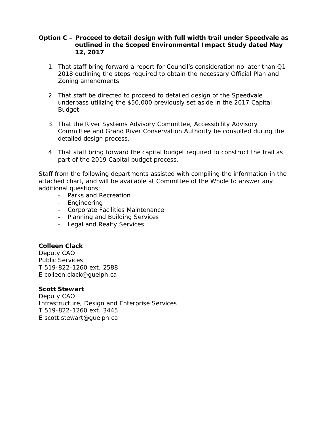### **Option C – Proceed to detail design with full width trail under Speedvale as outlined in the Scoped Environmental Impact Study dated May 12, 2017**

- 1. That staff bring forward a report for Council's consideration no later than Q1 2018 outlining the steps required to obtain the necessary Official Plan and Zoning amendments
- 2. That staff be directed to proceed to detailed design of the Speedvale underpass utilizing the \$50,000 previously set aside in the 2017 Capital Budget
- 3. That the River Systems Advisory Committee, Accessibility Advisory Committee and Grand River Conservation Authority be consulted during the detailed design process.
- 4. That staff bring forward the capital budget required to construct the trail as part of the 2019 Capital budget process.

Staff from the following departments assisted with compiling the information in the attached chart, and will be available at Committee of the Whole to answer any additional questions:

- Parks and Recreation
- Engineering
- Corporate Facilities Maintenance
- Planning and Building Services
- Legal and Realty Services

# **Colleen Clack**

Deputy CAO Public Services T 519-822-1260 ext. 2588 E colleen.clack@guelph.ca

#### **Scott Stewart**

Deputy CAO Infrastructure, Design and Enterprise Services T 519-822-1260 ext. 3445 E scott.stewart@guelph.ca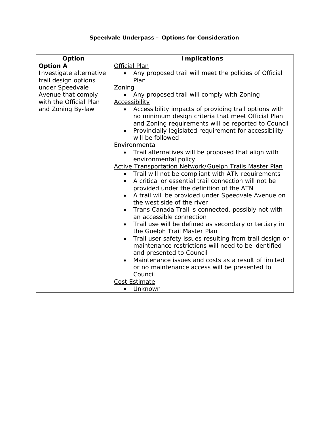# **Speedvale Underpass – Options for Consideration**

| Option                                          | <b>Implications</b>                                                                                                                                                                                                                                          |
|-------------------------------------------------|--------------------------------------------------------------------------------------------------------------------------------------------------------------------------------------------------------------------------------------------------------------|
| <b>Option A</b>                                 | <b>Official Plan</b>                                                                                                                                                                                                                                         |
| Investigate alternative<br>trail design options | Any proposed trail will meet the policies of Official<br>$\bullet$<br>Plan                                                                                                                                                                                   |
| under Speedvale                                 | Zoning                                                                                                                                                                                                                                                       |
| Avenue that comply                              | Any proposed trail will comply with Zoning                                                                                                                                                                                                                   |
| with the Official Plan                          | <b>Accessibility</b>                                                                                                                                                                                                                                         |
| and Zoning By-law                               | Accessibility impacts of providing trail options with<br>$\bullet$<br>no minimum design criteria that meet Official Plan<br>and Zoning requirements will be reported to Council<br>Provincially legislated requirement for accessibility<br>will be followed |
|                                                 | Environmental                                                                                                                                                                                                                                                |
|                                                 | • Trail alternatives will be proposed that align with<br>environmental policy                                                                                                                                                                                |
|                                                 | <b>Active Transportation Network/Guelph Trails Master Plan</b>                                                                                                                                                                                               |
|                                                 | Trail will not be compliant with ATN requirements<br>A critical or essential trail connection will not be<br>provided under the definition of the ATN                                                                                                        |
|                                                 | A trail will be provided under Speedvale Avenue on<br>the west side of the river                                                                                                                                                                             |
|                                                 | Trans Canada Trail is connected, possibly not with<br>an accessible connection                                                                                                                                                                               |
|                                                 | Trail use will be defined as secondary or tertiary in<br>$\bullet$<br>the Guelph Trail Master Plan                                                                                                                                                           |
|                                                 | Trail user safety issues resulting from trail design or<br>$\bullet$<br>maintenance restrictions will need to be identified<br>and presented to Council                                                                                                      |
|                                                 | Maintenance issues and costs as a result of limited                                                                                                                                                                                                          |
|                                                 | or no maintenance access will be presented to                                                                                                                                                                                                                |
|                                                 | Council                                                                                                                                                                                                                                                      |
|                                                 | <b>Cost Estimate</b>                                                                                                                                                                                                                                         |
|                                                 | Unknown<br>$\bullet$                                                                                                                                                                                                                                         |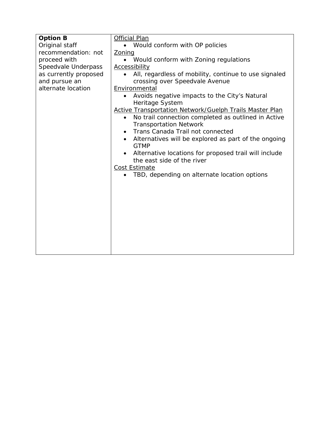| <b>Option B</b>       | <b>Official Plan</b>                                                                              |
|-----------------------|---------------------------------------------------------------------------------------------------|
| Original staff        | • Would conform with OP policies                                                                  |
| recommendation: not   | Zoning                                                                                            |
| proceed with          | • Would conform with Zoning regulations                                                           |
| Speedvale Underpass   | <b>Accessibility</b>                                                                              |
| as currently proposed | All, regardless of mobility, continue to use signaled<br>$\bullet$                                |
| and pursue an         | crossing over Speedvale Avenue                                                                    |
| alternate location    | Environmental                                                                                     |
|                       | Avoids negative impacts to the City's Natural<br>$\bullet$<br>Heritage System                     |
|                       | <b>Active Transportation Network/Guelph Trails Master Plan</b>                                    |
|                       | No trail connection completed as outlined in Active<br>$\bullet$<br><b>Transportation Network</b> |
|                       | Trans Canada Trail not connected<br>$\bullet$                                                     |
|                       | Alternatives will be explored as part of the ongoing                                              |
|                       | <b>GTMP</b>                                                                                       |
|                       | Alternative locations for proposed trail will include                                             |
|                       | the east side of the river                                                                        |
|                       | Cost Estimate                                                                                     |
|                       | TBD, depending on alternate location options                                                      |
|                       |                                                                                                   |
|                       |                                                                                                   |
|                       |                                                                                                   |
|                       |                                                                                                   |
|                       |                                                                                                   |
|                       |                                                                                                   |
|                       |                                                                                                   |
|                       |                                                                                                   |
|                       |                                                                                                   |
|                       |                                                                                                   |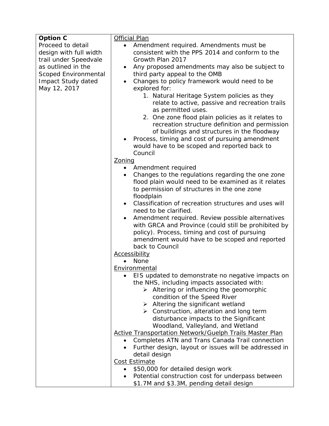| <b>Option C</b>        | <b>Official Plan</b>                                                                                                                                                                                                                                                       |
|------------------------|----------------------------------------------------------------------------------------------------------------------------------------------------------------------------------------------------------------------------------------------------------------------------|
| Proceed to detail      | Amendment required. Amendments must be<br>$\bullet$                                                                                                                                                                                                                        |
| design with full width | consistent with the PPS 2014 and conform to the                                                                                                                                                                                                                            |
| trail under Speedvale  | Growth Plan 2017                                                                                                                                                                                                                                                           |
| as outlined in the     | Any proposed amendments may also be subject to<br>٠                                                                                                                                                                                                                        |
| Scoped Environmental   | third party appeal to the OMB                                                                                                                                                                                                                                              |
| Impact Study dated     | Changes to policy framework would need to be<br>$\bullet$                                                                                                                                                                                                                  |
| May 12, 2017           | explored for:                                                                                                                                                                                                                                                              |
|                        | 1. Natural Heritage System policies as they<br>relate to active, passive and recreation trails<br>as permitted uses.<br>2. One zone flood plain policies as it relates to<br>recreation structure definition and permission<br>of buildings and structures in the floodway |
|                        | Process, timing and cost of pursuing amendment<br>٠<br>would have to be scoped and reported back to                                                                                                                                                                        |
|                        | Council                                                                                                                                                                                                                                                                    |
|                        | Zoning                                                                                                                                                                                                                                                                     |
|                        | Amendment required<br>$\bullet$                                                                                                                                                                                                                                            |
|                        | Changes to the regulations regarding the one zone<br>$\bullet$                                                                                                                                                                                                             |
|                        | flood plain would need to be examined as it relates                                                                                                                                                                                                                        |
|                        | to permission of structures in the one zone                                                                                                                                                                                                                                |
|                        | floodplain                                                                                                                                                                                                                                                                 |
|                        | Classification of recreation structures and uses will<br>$\bullet$                                                                                                                                                                                                         |
|                        | need to be clarified.                                                                                                                                                                                                                                                      |
|                        | Amendment required. Review possible alternatives<br>٠<br>with GRCA and Province (could still be prohibited by<br>policy). Process, timing and cost of pursuing<br>amendment would have to be scoped and reported                                                           |
|                        | back to Council                                                                                                                                                                                                                                                            |
|                        | <b>Accessibility</b>                                                                                                                                                                                                                                                       |
|                        | None                                                                                                                                                                                                                                                                       |
|                        | Environmental                                                                                                                                                                                                                                                              |
|                        | EIS updated to demonstrate no negative impacts on<br>the NHS, including impacts associated with:<br>$\triangleright$ Altering or influencing the geomorphic                                                                                                                |
|                        | condition of the Speed River                                                                                                                                                                                                                                               |
|                        | $\triangleright$ Altering the significant wetland                                                                                                                                                                                                                          |
|                        | $\triangleright$ Construction, alteration and long term                                                                                                                                                                                                                    |
|                        | disturbance impacts to the Significant                                                                                                                                                                                                                                     |
|                        | Woodland, Valleyland, and Wetland                                                                                                                                                                                                                                          |
|                        | Active Transportation Network/Guelph Trails Master Plan                                                                                                                                                                                                                    |
|                        | Completes ATN and Trans Canada Trail connection                                                                                                                                                                                                                            |
|                        | Further design, layout or issues will be addressed in<br>$\bullet$                                                                                                                                                                                                         |
|                        | detail design                                                                                                                                                                                                                                                              |
|                        | <b>Cost Estimate</b>                                                                                                                                                                                                                                                       |
|                        | \$50,000 for detailed design work                                                                                                                                                                                                                                          |
|                        | Potential construction cost for underpass between<br>\$1.7M and \$3.3M, pending detail design                                                                                                                                                                              |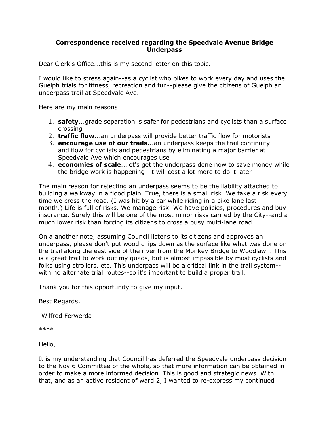#### **Correspondence received regarding the Speedvale Avenue Bridge Underpass**

Dear Clerk's Office...this is my second letter on this topic.

I would like to stress again--as a cyclist who bikes to work every day and uses the Guelph trials for fitness, recreation and fun--please give the citizens of Guelph an underpass trail at Speedvale Ave.

Here are my main reasons:

- 1. **safety**...grade separation is safer for pedestrians and cyclists than a surface crossing
- 2. **traffic flow**...an underpass will provide better traffic flow for motorists
- 3. **encourage use of our trails.**..an underpass keeps the trail continuity and flow for cyclists and pedestrians by eliminating a major barrier at Speedvale Ave which encourages use
- 4. **economies of scale**...let's get the underpass done now to save money while the bridge work is happening--it will cost a lot more to do it later

The main reason for rejecting an underpass seems to be the liability attached to building a walkway in a flood plain. True, there is a small risk. We take a risk every time we cross the road. (I was hit by a car while riding in a bike lane last month.) Life is full of risks. We manage risk. We have policies, procedures and buy insurance. Surely this will be one of the most minor risks carried by the City--and a much lower risk than forcing its citizens to cross a busy multi-lane road.

On a another note, assuming Council listens to its citizens and approves an underpass, please don't put wood chips down as the surface like what was done on the trail along the east side of the river from the Monkey Bridge to Woodlawn. This is a great trail to work out my quads, but is almost impassible by most cyclists and folks using strollers, etc. This underpass will be a critical link in the trail system- with no alternate trial routes--so it's important to build a proper trail.

Thank you for this opportunity to give my input.

Best Regards,

-Wilfred Ferwerda

\*\*\*\*

Hello,

It is my understanding that Council has deferred the Speedvale underpass decision to the Nov 6 Committee of the whole, so that more information can be obtained in order to make a more informed decision. This is good and strategic news. With that, and as an active resident of ward 2, I wanted to re-express my continued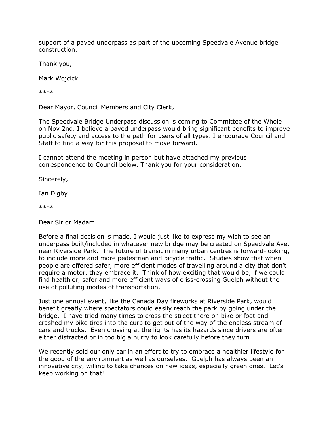support of a paved underpass as part of the upcoming Speedvale Avenue bridge construction.

Thank you,

Mark Wojcicki

\*\*\*\*

Dear Mayor, Council Members and City Clerk,

The Speedvale Bridge Underpass discussion is coming to Committee of the Whole on Nov 2nd. I believe a paved underpass would bring significant benefits to improve public safety and access to the path for users of all types. I encourage Council and Staff to find a way for this proposal to move forward.

I cannot attend the meeting in person but have attached my previous correspondence to Council below. Thank you for your consideration.

Sincerely,

Ian Digby

\*\*\*\*

Dear Sir or Madam.

Before a final decision is made, I would just like to express my wish to see an underpass built/included in whatever new bridge may be created on Speedvale Ave. near Riverside Park. The future of transit in many urban centres is forward-looking, to include more and more pedestrian and bicycle traffic. Studies show that when people are offered safer, more efficient modes of travelling around a city that don't require a motor, they embrace it. Think of how exciting that would be, if we could find healthier, safer and more efficient ways of criss-crossing Guelph without the use of polluting modes of transportation.

Just one annual event, like the Canada Day fireworks at Riverside Park, would benefit greatly where spectators could easily reach the park by going under the bridge. I have tried many times to cross the street there on bike or foot and crashed my bike tires into the curb to get out of the way of the endless stream of cars and trucks. Even crossing at the lights has its hazards since drivers are often either distracted or in too big a hurry to look carefully before they turn.

We recently sold our only car in an effort to try to embrace a healthier lifestyle for the good of the environment as well as ourselves. Guelph has always been an innovative city, willing to take chances on new ideas, especially green ones. Let's keep working on that!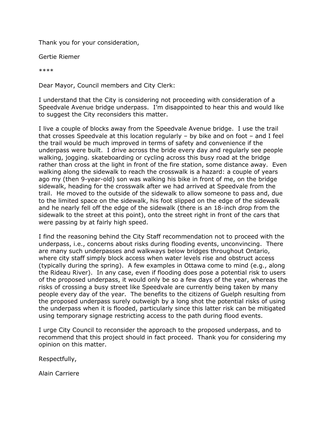Thank you for your consideration,

Gertie Riemer

\*\*\*\*

Dear Mayor, Council members and City Clerk:

I understand that the City is considering not proceeding with consideration of a Speedvale Avenue bridge underpass. I'm disappointed to hear this and would like to suggest the City reconsiders this matter.

I live a couple of blocks away from the Speedvale Avenue bridge. I use the trail that crosses Speedvale at this location regularly – by bike and on foot – and I feel the trail would be much improved in terms of safety and convenience if the underpass were built. I drive across the bride every day and regularly see people walking, jogging. skateboarding or cycling across this busy road at the bridge rather than cross at the light in front of the fire station, some distance away. Even walking along the sidewalk to reach the crosswalk is a hazard: a couple of years ago my (then 9-year-old) son was walking his bike in front of me, on the bridge sidewalk, heading for the crosswalk after we had arrived at Speedvale from the trail. He moved to the outside of the sidewalk to allow someone to pass and, due to the limited space on the sidewalk, his foot slipped on the edge of the sidewalk and he nearly fell off the edge of the sidewalk (there is an 18-inch drop from the sidewalk to the street at this point), onto the street right in front of the cars that were passing by at fairly high speed.

I find the reasoning behind the City Staff recommendation not to proceed with the underpass, i.e., concerns about risks during flooding events, unconvincing. There are many such underpasses and walkways below bridges throughout Ontario, where city staff simply block access when water levels rise and obstruct access (typically during the spring). A few examples in Ottawa come to mind (e.g., along the Rideau River). In any case, even if flooding does pose a potential risk to users of the proposed underpass, it would only be so a few days of the year, whereas the risks of crossing a busy street like Speedvale are currently being taken by many people every day of the year. The benefits to the citizens of Guelph resulting from the proposed underpass surely outweigh by a long shot the potential risks of using the underpass when it is flooded, particularly since this latter risk can be mitigated using temporary signage restricting access to the path during flood events.

I urge City Council to reconsider the approach to the proposed underpass, and to recommend that this project should in fact proceed. Thank you for considering my opinion on this matter.

Respectfully,

Alain Carriere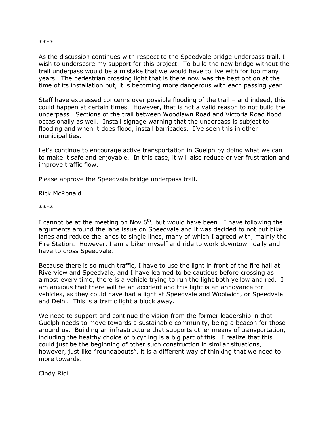#### \*\*\*\*

As the discussion continues with respect to the Speedvale bridge underpass trail, I wish to underscore my support for this project. To build the new bridge without the trail underpass would be a mistake that we would have to live with for too many years. The pedestrian crossing light that is there now was the best option at the time of its installation but, it is becoming more dangerous with each passing year.

Staff have expressed concerns over possible flooding of the trail – and indeed, this could happen at certain times. However, that is not a valid reason to not build the underpass. Sections of the trail between Woodlawn Road and Victoria Road flood occasionally as well. Install signage warning that the underpass is subject to flooding and when it does flood, install barricades. I've seen this in other municipalities.

Let's continue to encourage active transportation in Guelph by doing what we can to make it safe and enjoyable. In this case, it will also reduce driver frustration and improve traffic flow.

Please approve the Speedvale bridge underpass trail.

Rick McRonald

\*\*\*\*

I cannot be at the meeting on Nov  $6<sup>th</sup>$ , but would have been. I have following the arguments around the lane issue on Speedvale and it was decided to not put bike lanes and reduce the lanes to single lines, many of which I agreed with, mainly the Fire Station. However, I am a biker myself and ride to work downtown daily and have to cross Speedvale.

Because there is so much traffic, I have to use the light in front of the fire hall at Riverview and Speedvale, and I have learned to be cautious before crossing as almost every time, there is a vehicle trying to run the light both yellow and red. I am anxious that there will be an accident and this light is an annoyance for vehicles, as they could have had a light at Speedvale and Woolwich, or Speedvale and Delhi. This is a traffic light a block away.

We need to support and continue the vision from the former leadership in that Guelph needs to move towards a sustainable community, being a beacon for those around us. Building an infrastructure that supports other means of transportation, including the healthy choice of bicycling is a big part of this. I realize that this could just be the beginning of other such construction in similar situations, however, just like "roundabouts", it is a different way of thinking that we need to more towards.

Cindy Ridi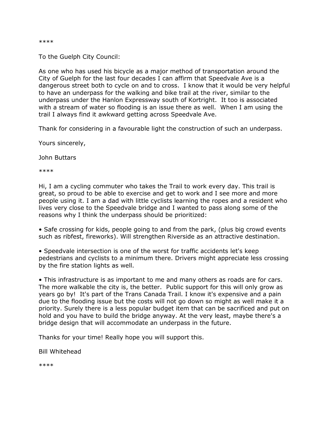\*\*\*\*

To the Guelph City Council:

As one who has used his bicycle as a major method of transportation around the City of Guelph for the last four decades I can affirm that Speedvale Ave is a dangerous street both to cycle on and to cross. I know that it would be very helpful to have an underpass for the walking and bike trail at the river, similar to the underpass under the Hanlon Expressway south of Kortright. It too is associated with a stream of water so flooding is an issue there as well. When I am using the trail I always find it awkward getting across Speedvale Ave.

Thank for considering in a favourable light the construction of such an underpass.

Yours sincerely,

John Buttars

\*\*\*\*

Hi, I am a cycling commuter who takes the Trail to work every day. This trail is great, so proud to be able to exercise and get to work and I see more and more people using it. I am a dad with little cyclists learning the ropes and a resident who lives very close to the Speedvale bridge and I wanted to pass along some of the reasons why I think the underpass should be prioritized:

• Safe crossing for kids, people going to and from the park, (plus big crowd events such as ribfest, fireworks). Will strengthen Riverside as an attractive destination.

• Speedvale intersection is one of the worst for traffic accidents let's keep pedestrians and cyclists to a minimum there. Drivers might appreciate less crossing by the fire station lights as well.

• This infrastructure is as important to me and many others as roads are for cars. The more walkable the city is, the better. Public support for this will only grow as years go by! It's part of the Trans Canada Trail. I know it's expensive and a pain due to the flooding issue but the costs will not go down so might as well make it a priority. Surely there is a less popular budget item that can be sacrificed and put on hold and you have to build the bridge anyway. At the very least, maybe there's a bridge design that will accommodate an underpass in the future.

Thanks for your time! Really hope you will support this.

Bill Whitehead

\*\*\*\*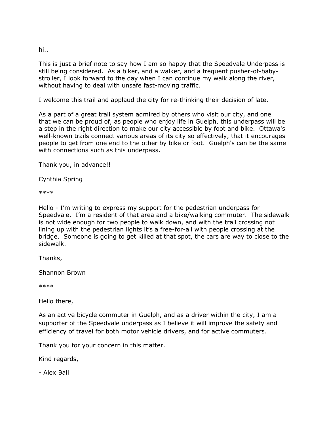hi..

This is just a brief note to say how I am so happy that the Speedvale Underpass is still being considered. As a biker, and a walker, and a frequent pusher-of-babystroller, I look forward to the day when I can continue my walk along the river, without having to deal with unsafe fast-moving traffic.

I welcome this trail and applaud the city for re-thinking their decision of late.

As a part of a great trail system admired by others who visit our city, and one that we can be proud of, as people who enjoy life in Guelph, this underpass will be a step in the right direction to make our city accessible by foot and bike. Ottawa's well-known trails connect various areas of its city so effectively, that it encourages people to get from one end to the other by bike or foot. Guelph's can be the same with connections such as this underpass.

Thank you, in advance!!

Cynthia Spring

\*\*\*\*

Hello - I'm writing to express my support for the pedestrian underpass for Speedvale. I'm a resident of that area and a bike/walking commuter. The sidewalk is not wide enough for two people to walk down, and with the trail crossing not lining up with the pedestrian lights it's a free-for-all with people crossing at the bridge. Someone is going to get killed at that spot, the cars are way to close to the sidewalk.

Thanks,

Shannon Brown

\*\*\*\*

Hello there,

As an active bicycle commuter in Guelph, and as a driver within the city, I am a supporter of the Speedvale underpass as I believe it will improve the safety and efficiency of travel for both motor vehicle drivers, and for active commuters.

Thank you for your concern in this matter.

Kind regards,

- Alex Ball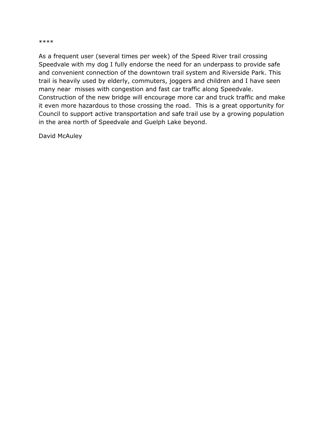#### \*\*\*\*

As a frequent user (several times per week) of the Speed River trail crossing Speedvale with my dog I fully endorse the need for an underpass to provide safe and convenient connection of the downtown trail system and Riverside Park. This trail is heavily used by elderly, commuters, joggers and children and I have seen many near misses with congestion and fast car traffic along Speedvale. Construction of the new bridge will encourage more car and truck traffic and make it even more hazardous to those crossing the road. This is a great opportunity for Council to support active transportation and safe trail use by a growing population in the area north of Speedvale and Guelph Lake beyond.

David McAuley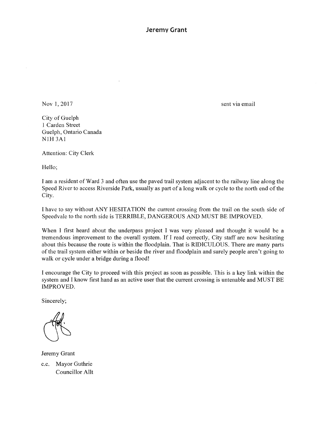**Jeremy Grant** 

Nov 1, 2017

sent via email

City of Guelph 1 Carden Street Guelph, Ontario Canada NIH 3Al

Attention: City Clerk

Hello;

I am a resident of Ward 3 and often use the paved trail system adjacent to the railway line along the Speed River to access Riverside Park, usually as part of a long walk or cycle to the north end of the City.

I have to say without ANY HESITATION the current crossing from the trail on the south side of Speedvale to the north side is TERRIBLE, DANGEROUS AND MUST BE IMPROVED.

When I first heard about the underpass project I was very pleased and thought it would be a tremendous improvement to the overall system. If I read correctly, City staff are now hesitating about this because the route is within the floodplain. That is RIDICULOUS. There are many parts of the trail system either within or beside the river and floodplain and surely people aren't going to walk or cycle under a bridge during a flood!

I encourage the City to proceed with this project as soon as possible. This is a key link within the system and I know first hand as an active user that the current crossing is untenable and MUST BE IMPROVED.

Sincerely;

Jeremy Grant c.c. Mayor Guthrie Councillor Alit